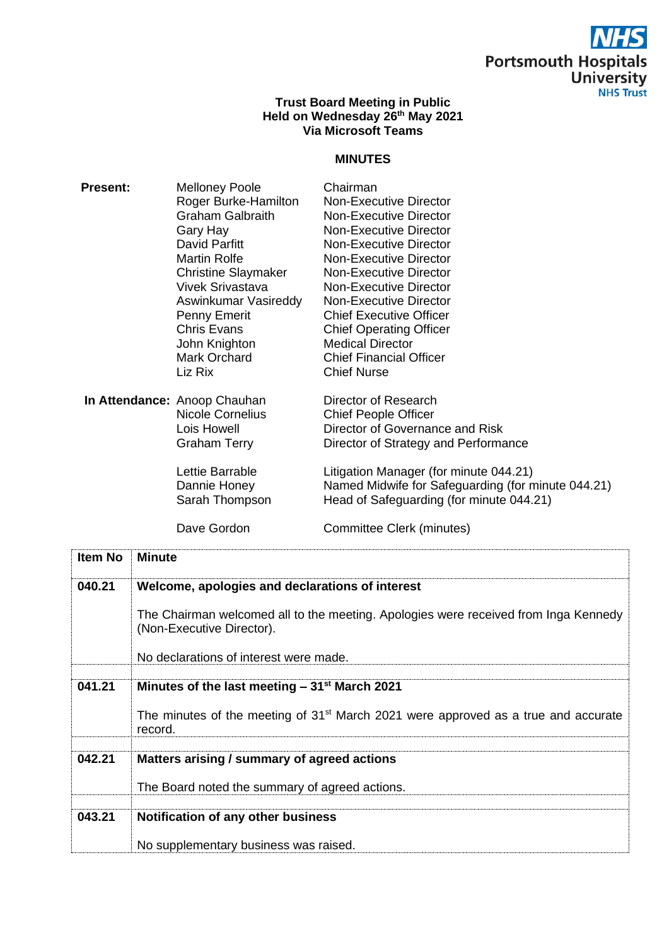

### **Trust Board Meeting in Public Held on Wednesday 26th May 2021 Via Microsoft Teams**

### **MINUTES**

| <b>Present:</b> | <b>Melloney Poole</b>        | Chairman                                           |
|-----------------|------------------------------|----------------------------------------------------|
|                 | Roger Burke-Hamilton         | <b>Non-Executive Director</b>                      |
|                 | <b>Graham Galbraith</b>      | Non-Executive Director                             |
|                 | Gary Hay                     | Non-Executive Director                             |
|                 | David Parfitt                | Non-Executive Director                             |
|                 | <b>Martin Rolfe</b>          | Non-Executive Director                             |
|                 | <b>Christine Slaymaker</b>   | Non-Executive Director                             |
|                 | <b>Vivek Srivastava</b>      | Non-Executive Director                             |
|                 | Aswinkumar Vasireddy         | <b>Non-Executive Director</b>                      |
|                 | Penny Emerit                 | <b>Chief Executive Officer</b>                     |
|                 | <b>Chris Evans</b>           | <b>Chief Operating Officer</b>                     |
|                 | John Knighton                | <b>Medical Director</b>                            |
|                 | Mark Orchard                 | <b>Chief Financial Officer</b>                     |
|                 | Liz Rix                      | <b>Chief Nurse</b>                                 |
|                 | In Attendance: Anoop Chauhan | Director of Research                               |
|                 | Nicole Cornelius             | <b>Chief People Officer</b>                        |
|                 | Lois Howell                  | Director of Governance and Risk                    |
|                 | Graham Terry                 | Director of Strategy and Performance               |
|                 | Lettie Barrable              | Litigation Manager (for minute 044.21)             |
|                 | Dannie Honey                 | Named Midwife for Safeguarding (for minute 044.21) |
|                 | Sarah Thompson               | Head of Safeguarding (for minute 044.21)           |
|                 | Dave Gordon                  | Committee Clerk (minutes)                          |

| Item No | <b>Minute</b>                                                                                                    |
|---------|------------------------------------------------------------------------------------------------------------------|
| 040.21  | Welcome, apologies and declarations of interest                                                                  |
|         | The Chairman welcomed all to the meeting. Apologies were received from Inga Kennedy<br>(Non-Executive Director). |
|         | No declarations of interest were made.                                                                           |
|         |                                                                                                                  |
| 041.21  | Minutes of the last meeting $-31$ <sup>st</sup> March 2021                                                       |
|         | The minutes of the meeting of 31 <sup>st</sup> March 2021 were approved as a true and accurate<br>record.        |
|         |                                                                                                                  |
| 042.21  | Matters arising / summary of agreed actions                                                                      |
|         |                                                                                                                  |
|         | The Board noted the summary of agreed actions.                                                                   |
|         |                                                                                                                  |
| 043.21  | Notification of any other business                                                                               |
|         | No supplementary business was raised.                                                                            |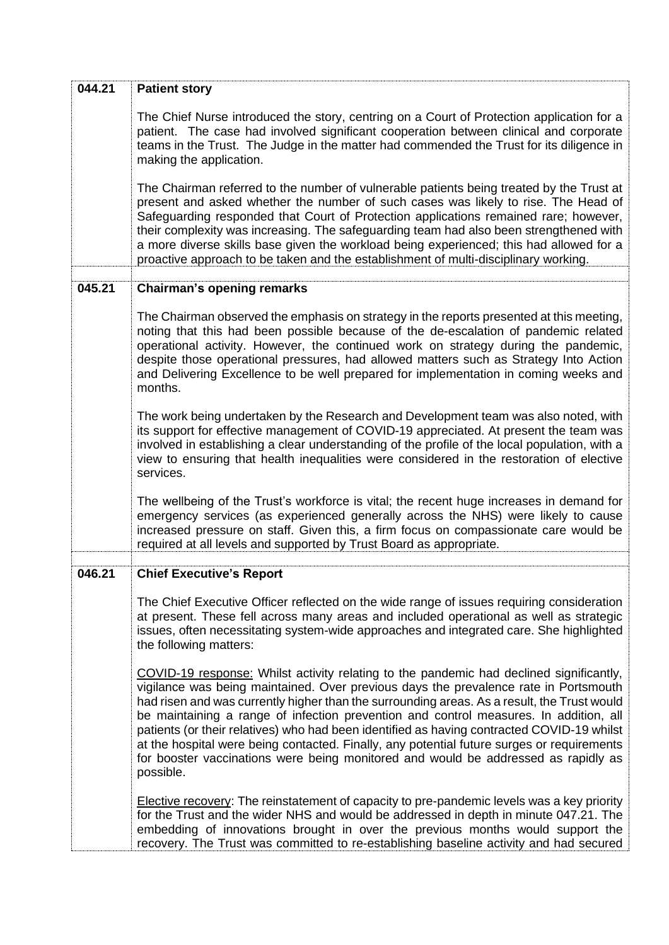| 044.21 | <b>Patient story</b>                                                                                                                                                                                                                                                                                                                                                                                                                                                                                                                                                                                                                                                   |
|--------|------------------------------------------------------------------------------------------------------------------------------------------------------------------------------------------------------------------------------------------------------------------------------------------------------------------------------------------------------------------------------------------------------------------------------------------------------------------------------------------------------------------------------------------------------------------------------------------------------------------------------------------------------------------------|
|        | The Chief Nurse introduced the story, centring on a Court of Protection application for a<br>patient. The case had involved significant cooperation between clinical and corporate<br>teams in the Trust. The Judge in the matter had commended the Trust for its diligence in<br>making the application.                                                                                                                                                                                                                                                                                                                                                              |
|        | The Chairman referred to the number of vulnerable patients being treated by the Trust at<br>present and asked whether the number of such cases was likely to rise. The Head of<br>Safeguarding responded that Court of Protection applications remained rare; however,<br>their complexity was increasing. The safeguarding team had also been strengthened with<br>a more diverse skills base given the workload being experienced; this had allowed for a<br>proactive approach to be taken and the establishment of multi-disciplinary working.                                                                                                                     |
| 045.21 | <b>Chairman's opening remarks</b>                                                                                                                                                                                                                                                                                                                                                                                                                                                                                                                                                                                                                                      |
|        | The Chairman observed the emphasis on strategy in the reports presented at this meeting,<br>noting that this had been possible because of the de-escalation of pandemic related<br>operational activity. However, the continued work on strategy during the pandemic,<br>despite those operational pressures, had allowed matters such as Strategy Into Action<br>and Delivering Excellence to be well prepared for implementation in coming weeks and<br>months.                                                                                                                                                                                                      |
|        | The work being undertaken by the Research and Development team was also noted, with<br>its support for effective management of COVID-19 appreciated. At present the team was<br>involved in establishing a clear understanding of the profile of the local population, with a<br>view to ensuring that health inequalities were considered in the restoration of elective<br>services.                                                                                                                                                                                                                                                                                 |
|        | The wellbeing of the Trust's workforce is vital; the recent huge increases in demand for<br>emergency services (as experienced generally across the NHS) were likely to cause<br>increased pressure on staff. Given this, a firm focus on compassionate care would be<br>required at all levels and supported by Trust Board as appropriate.                                                                                                                                                                                                                                                                                                                           |
| 046.21 | <b>Chief Executive's Report</b>                                                                                                                                                                                                                                                                                                                                                                                                                                                                                                                                                                                                                                        |
|        | The Chief Executive Officer reflected on the wide range of issues requiring consideration<br>at present. These fell across many areas and included operational as well as strategic<br>issues, often necessitating system-wide approaches and integrated care. She highlighted<br>the following matters:                                                                                                                                                                                                                                                                                                                                                               |
|        | COVID-19 response: Whilst activity relating to the pandemic had declined significantly,<br>vigilance was being maintained. Over previous days the prevalence rate in Portsmouth<br>had risen and was currently higher than the surrounding areas. As a result, the Trust would<br>be maintaining a range of infection prevention and control measures. In addition, all<br>patients (or their relatives) who had been identified as having contracted COVID-19 whilst<br>at the hospital were being contacted. Finally, any potential future surges or requirements<br>for booster vaccinations were being monitored and would be addressed as rapidly as<br>possible. |
|        | Elective recovery: The reinstatement of capacity to pre-pandemic levels was a key priority<br>for the Trust and the wider NHS and would be addressed in depth in minute 047.21. The<br>embedding of innovations brought in over the previous months would support the<br>recovery. The Trust was committed to re-establishing baseline activity and had secured                                                                                                                                                                                                                                                                                                        |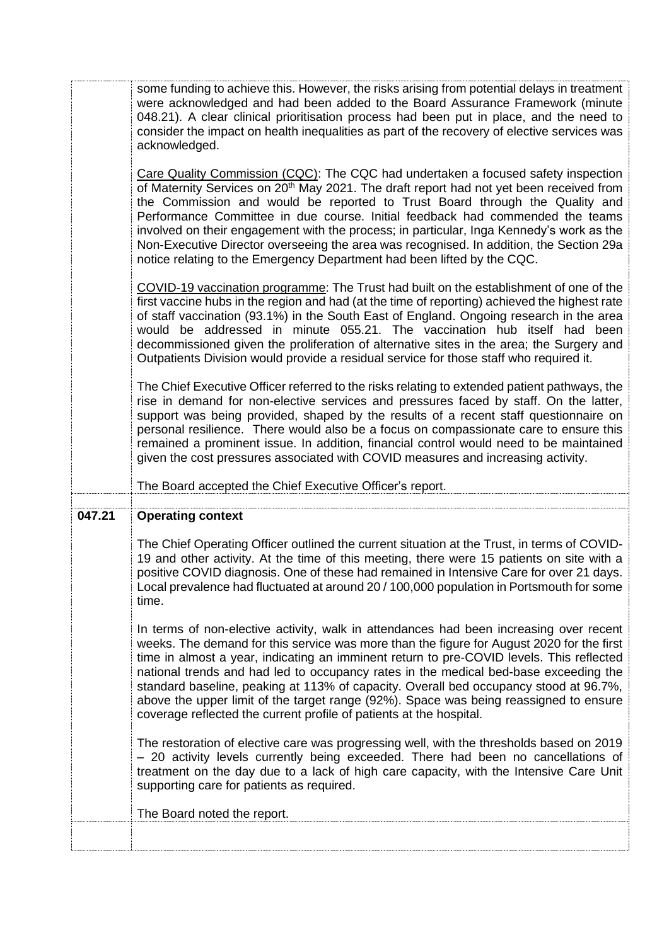|        | some funding to achieve this. However, the risks arising from potential delays in treatment<br>were acknowledged and had been added to the Board Assurance Framework (minute<br>048.21). A clear clinical prioritisation process had been put in place, and the need to<br>consider the impact on health inequalities as part of the recovery of elective services was<br>acknowledged.                                                                                                                                                                                                                                          |
|--------|----------------------------------------------------------------------------------------------------------------------------------------------------------------------------------------------------------------------------------------------------------------------------------------------------------------------------------------------------------------------------------------------------------------------------------------------------------------------------------------------------------------------------------------------------------------------------------------------------------------------------------|
|        | Care Quality Commission (CQC): The CQC had undertaken a focused safety inspection<br>of Maternity Services on 20 <sup>th</sup> May 2021. The draft report had not yet been received from<br>the Commission and would be reported to Trust Board through the Quality and<br>Performance Committee in due course. Initial feedback had commended the teams<br>involved on their engagement with the process; in particular, Inga Kennedy's work as the<br>Non-Executive Director overseeing the area was recognised. In addition, the Section 29a<br>notice relating to the Emergency Department had been lifted by the CQC.       |
|        | COVID-19 vaccination programme: The Trust had built on the establishment of one of the<br>first vaccine hubs in the region and had (at the time of reporting) achieved the highest rate<br>of staff vaccination (93.1%) in the South East of England. Ongoing research in the area<br>would be addressed in minute 055.21. The vaccination hub itself had been<br>decommissioned given the proliferation of alternative sites in the area; the Surgery and<br>Outpatients Division would provide a residual service for those staff who required it.                                                                             |
|        | The Chief Executive Officer referred to the risks relating to extended patient pathways, the<br>rise in demand for non-elective services and pressures faced by staff. On the latter,<br>support was being provided, shaped by the results of a recent staff questionnaire on<br>personal resilience. There would also be a focus on compassionate care to ensure this<br>remained a prominent issue. In addition, financial control would need to be maintained<br>given the cost pressures associated with COVID measures and increasing activity.                                                                             |
|        |                                                                                                                                                                                                                                                                                                                                                                                                                                                                                                                                                                                                                                  |
|        | The Board accepted the Chief Executive Officer's report.                                                                                                                                                                                                                                                                                                                                                                                                                                                                                                                                                                         |
|        |                                                                                                                                                                                                                                                                                                                                                                                                                                                                                                                                                                                                                                  |
| 047.21 | <b>Operating context</b><br>The Chief Operating Officer outlined the current situation at the Trust, in terms of COVID-<br>19 and other activity. At the time of this meeting, there were 15 patients on site with a<br>positive COVID diagnosis. One of these had remained in Intensive Care for over 21 days.<br>Local prevalence had fluctuated at around 20 / 100,000 population in Portsmouth for some<br>time.                                                                                                                                                                                                             |
|        | In terms of non-elective activity, walk in attendances had been increasing over recent<br>weeks. The demand for this service was more than the figure for August 2020 for the first<br>time in almost a year, indicating an imminent return to pre-COVID levels. This reflected<br>national trends and had led to occupancy rates in the medical bed-base exceeding the<br>standard baseline, peaking at 113% of capacity. Overall bed occupancy stood at 96.7%,<br>above the upper limit of the target range (92%). Space was being reassigned to ensure<br>coverage reflected the current profile of patients at the hospital. |
|        | The restoration of elective care was progressing well, with the thresholds based on 2019<br>- 20 activity levels currently being exceeded. There had been no cancellations of<br>treatment on the day due to a lack of high care capacity, with the Intensive Care Unit<br>supporting care for patients as required.                                                                                                                                                                                                                                                                                                             |
|        | The Board noted the report.                                                                                                                                                                                                                                                                                                                                                                                                                                                                                                                                                                                                      |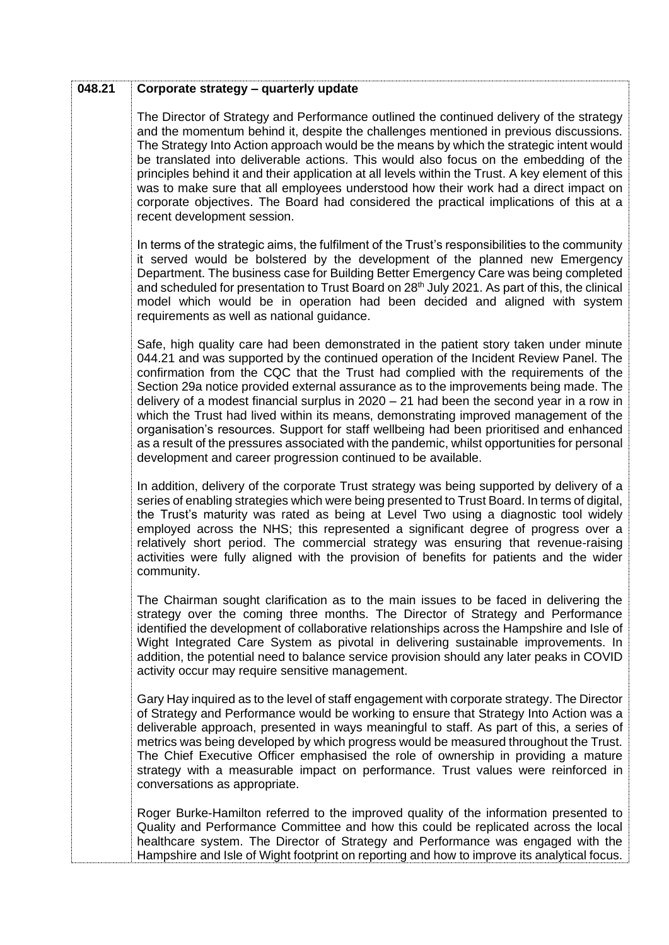| 048.21 | Corporate strategy - quarterly update                                                                                                                                                                                                                                                                                                                                                                                                                                                                                                                                                                                                                                                                                                                                                                           |
|--------|-----------------------------------------------------------------------------------------------------------------------------------------------------------------------------------------------------------------------------------------------------------------------------------------------------------------------------------------------------------------------------------------------------------------------------------------------------------------------------------------------------------------------------------------------------------------------------------------------------------------------------------------------------------------------------------------------------------------------------------------------------------------------------------------------------------------|
|        | The Director of Strategy and Performance outlined the continued delivery of the strategy<br>and the momentum behind it, despite the challenges mentioned in previous discussions.<br>The Strategy Into Action approach would be the means by which the strategic intent would<br>be translated into deliverable actions. This would also focus on the embedding of the<br>principles behind it and their application at all levels within the Trust. A key element of this<br>was to make sure that all employees understood how their work had a direct impact on<br>corporate objectives. The Board had considered the practical implications of this at a<br>recent development session.                                                                                                                     |
|        | In terms of the strategic aims, the fulfilment of the Trust's responsibilities to the community<br>it served would be bolstered by the development of the planned new Emergency<br>Department. The business case for Building Better Emergency Care was being completed<br>and scheduled for presentation to Trust Board on 28 <sup>th</sup> July 2021. As part of this, the clinical<br>model which would be in operation had been decided and aligned with system<br>requirements as well as national guidance.                                                                                                                                                                                                                                                                                               |
|        | Safe, high quality care had been demonstrated in the patient story taken under minute<br>044.21 and was supported by the continued operation of the Incident Review Panel. The<br>confirmation from the CQC that the Trust had complied with the requirements of the<br>Section 29a notice provided external assurance as to the improvements being made. The<br>delivery of a modest financial surplus in $2020 - 21$ had been the second year in a row in<br>which the Trust had lived within its means, demonstrating improved management of the<br>organisation's resources. Support for staff wellbeing had been prioritised and enhanced<br>as a result of the pressures associated with the pandemic, whilst opportunities for personal<br>development and career progression continued to be available. |
|        | In addition, delivery of the corporate Trust strategy was being supported by delivery of a<br>series of enabling strategies which were being presented to Trust Board. In terms of digital,<br>the Trust's maturity was rated as being at Level Two using a diagnostic tool widely<br>employed across the NHS; this represented a significant degree of progress over a<br>relatively short period. The commercial strategy was ensuring that revenue-raising<br>activities were fully aligned with the provision of benefits for patients and the wider<br>community.                                                                                                                                                                                                                                          |
|        | The Chairman sought clarification as to the main issues to be faced in delivering the<br>strategy over the coming three months. The Director of Strategy and Performance<br>identified the development of collaborative relationships across the Hampshire and Isle of<br>Wight Integrated Care System as pivotal in delivering sustainable improvements. In<br>addition, the potential need to balance service provision should any later peaks in COVID<br>activity occur may require sensitive management.                                                                                                                                                                                                                                                                                                   |
|        | Gary Hay inquired as to the level of staff engagement with corporate strategy. The Director<br>of Strategy and Performance would be working to ensure that Strategy Into Action was a<br>deliverable approach, presented in ways meaningful to staff. As part of this, a series of<br>metrics was being developed by which progress would be measured throughout the Trust.<br>The Chief Executive Officer emphasised the role of ownership in providing a mature<br>strategy with a measurable impact on performance. Trust values were reinforced in<br>conversations as appropriate.                                                                                                                                                                                                                         |
|        | Roger Burke-Hamilton referred to the improved quality of the information presented to<br>Quality and Performance Committee and how this could be replicated across the local<br>healthcare system. The Director of Strategy and Performance was engaged with the<br>Hampshire and Isle of Wight footprint on reporting and how to improve its analytical focus.                                                                                                                                                                                                                                                                                                                                                                                                                                                 |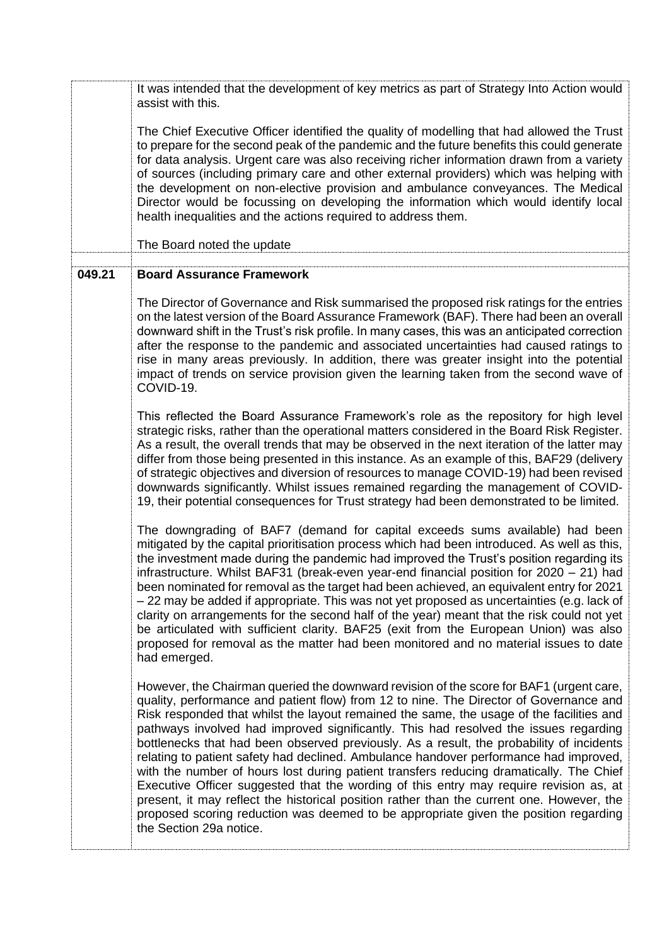It was intended that the development of key metrics as part of Strategy Into Action would assist with this.

The Chief Executive Officer identified the quality of modelling that had allowed the Trust to prepare for the second peak of the pandemic and the future benefits this could generate for data analysis. Urgent care was also receiving richer information drawn from a variety of sources (including primary care and other external providers) which was helping with the development on non-elective provision and ambulance conveyances. The Medical Director would be focussing on developing the information which would identify local health inequalities and the actions required to address them.

The Board noted the update

### **049.21 Board Assurance Framework**

The Director of Governance and Risk summarised the proposed risk ratings for the entries on the latest version of the Board Assurance Framework (BAF). There had been an overall downward shift in the Trust's risk profile. In many cases, this was an anticipated correction after the response to the pandemic and associated uncertainties had caused ratings to rise in many areas previously. In addition, there was greater insight into the potential impact of trends on service provision given the learning taken from the second wave of COVID-19.

This reflected the Board Assurance Framework's role as the repository for high level strategic risks, rather than the operational matters considered in the Board Risk Register. As a result, the overall trends that may be observed in the next iteration of the latter may differ from those being presented in this instance. As an example of this, BAF29 (delivery of strategic objectives and diversion of resources to manage COVID-19) had been revised downwards significantly. Whilst issues remained regarding the management of COVID-19, their potential consequences for Trust strategy had been demonstrated to be limited.

The downgrading of BAF7 (demand for capital exceeds sums available) had been mitigated by the capital prioritisation process which had been introduced. As well as this, the investment made during the pandemic had improved the Trust's position regarding its infrastructure. Whilst BAF31 (break-even year-end financial position for 2020 – 21) had been nominated for removal as the target had been achieved, an equivalent entry for 2021 – 22 may be added if appropriate. This was not yet proposed as uncertainties (e.g. lack of clarity on arrangements for the second half of the year) meant that the risk could not yet be articulated with sufficient clarity. BAF25 (exit from the European Union) was also proposed for removal as the matter had been monitored and no material issues to date had emerged.

However, the Chairman queried the downward revision of the score for BAF1 (urgent care, quality, performance and patient flow) from 12 to nine. The Director of Governance and Risk responded that whilst the layout remained the same, the usage of the facilities and pathways involved had improved significantly. This had resolved the issues regarding bottlenecks that had been observed previously. As a result, the probability of incidents relating to patient safety had declined. Ambulance handover performance had improved, with the number of hours lost during patient transfers reducing dramatically. The Chief Executive Officer suggested that the wording of this entry may require revision as, at present, it may reflect the historical position rather than the current one. However, the proposed scoring reduction was deemed to be appropriate given the position regarding the Section 29a notice.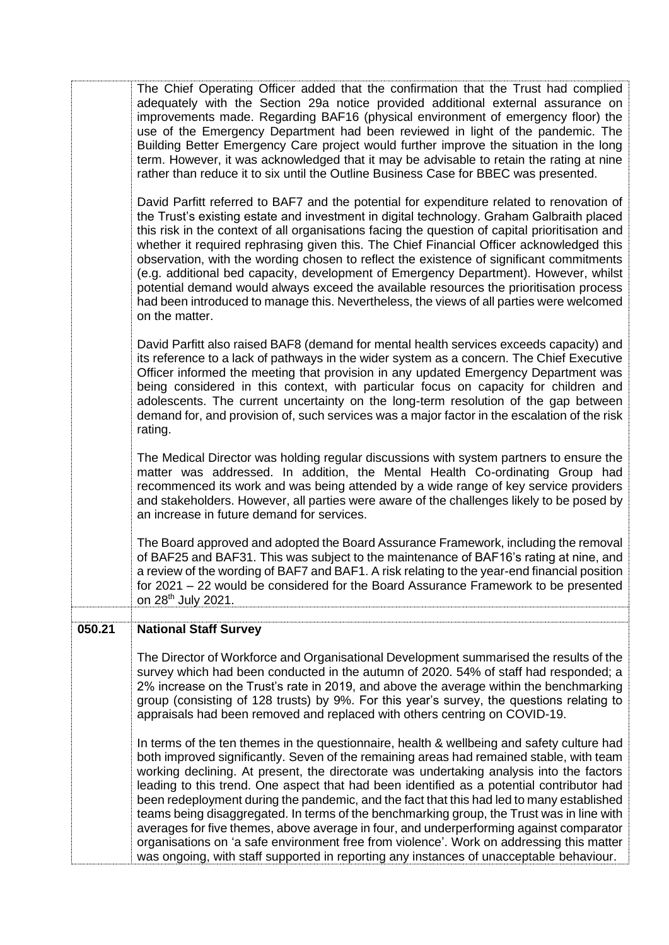|        | group (consisting of 128 trusts) by 9%. For this year's survey, the questions relating to<br>appraisals had been removed and replaced with others centring on COVID-19.<br>In terms of the ten themes in the questionnaire, health & wellbeing and safety culture had<br>both improved significantly. Seven of the remaining areas had remained stable, with team<br>working declining. At present, the directorate was undertaking analysis into the factors<br>leading to this trend. One aspect that had been identified as a potential contributor had<br>been redeployment during the pandemic, and the fact that this had led to many established<br>teams being disaggregated. In terms of the benchmarking group, the Trust was in line with<br>averages for five themes, above average in four, and underperforming against comparator<br>organisations on 'a safe environment free from violence'. Work on addressing this matter<br>was ongoing, with staff supported in reporting any instances of unacceptable behaviour. |
|--------|----------------------------------------------------------------------------------------------------------------------------------------------------------------------------------------------------------------------------------------------------------------------------------------------------------------------------------------------------------------------------------------------------------------------------------------------------------------------------------------------------------------------------------------------------------------------------------------------------------------------------------------------------------------------------------------------------------------------------------------------------------------------------------------------------------------------------------------------------------------------------------------------------------------------------------------------------------------------------------------------------------------------------------------|
| 050.21 | <b>National Staff Survey</b><br>The Director of Workforce and Organisational Development summarised the results of the<br>survey which had been conducted in the autumn of 2020. 54% of staff had responded; a<br>2% increase on the Trust's rate in 2019, and above the average within the benchmarking                                                                                                                                                                                                                                                                                                                                                                                                                                                                                                                                                                                                                                                                                                                               |
|        | The Board approved and adopted the Board Assurance Framework, including the removal<br>of BAF25 and BAF31. This was subject to the maintenance of BAF16's rating at nine, and<br>a review of the wording of BAF7 and BAF1. A risk relating to the year-end financial position<br>for 2021 – 22 would be considered for the Board Assurance Framework to be presented<br>on 28 <sup>th</sup> July 2021.                                                                                                                                                                                                                                                                                                                                                                                                                                                                                                                                                                                                                                 |
|        | The Medical Director was holding regular discussions with system partners to ensure the<br>matter was addressed. In addition, the Mental Health Co-ordinating Group had<br>recommenced its work and was being attended by a wide range of key service providers<br>and stakeholders. However, all parties were aware of the challenges likely to be posed by<br>an increase in future demand for services.                                                                                                                                                                                                                                                                                                                                                                                                                                                                                                                                                                                                                             |
|        | David Parfitt also raised BAF8 (demand for mental health services exceeds capacity) and<br>its reference to a lack of pathways in the wider system as a concern. The Chief Executive<br>Officer informed the meeting that provision in any updated Emergency Department was<br>being considered in this context, with particular focus on capacity for children and<br>adolescents. The current uncertainty on the long-term resolution of the gap between<br>demand for, and provision of, such services was a major factor in the escalation of the risk<br>rating.                                                                                                                                                                                                                                                                                                                                                                                                                                                                  |
|        | David Parfitt referred to BAF7 and the potential for expenditure related to renovation of<br>the Trust's existing estate and investment in digital technology. Graham Galbraith placed<br>this risk in the context of all organisations facing the question of capital prioritisation and<br>whether it required rephrasing given this. The Chief Financial Officer acknowledged this<br>observation, with the wording chosen to reflect the existence of significant commitments<br>(e.g. additional bed capacity, development of Emergency Department). However, whilst<br>potential demand would always exceed the available resources the prioritisation process<br>had been introduced to manage this. Nevertheless, the views of all parties were welcomed<br>on the matter.                                                                                                                                                                                                                                                     |
|        | The Chief Operating Officer added that the confirmation that the Trust had complied<br>adequately with the Section 29a notice provided additional external assurance on<br>improvements made. Regarding BAF16 (physical environment of emergency floor) the<br>use of the Emergency Department had been reviewed in light of the pandemic. The<br>Building Better Emergency Care project would further improve the situation in the long<br>term. However, it was acknowledged that it may be advisable to retain the rating at nine<br>rather than reduce it to six until the Outline Business Case for BBEC was presented.                                                                                                                                                                                                                                                                                                                                                                                                           |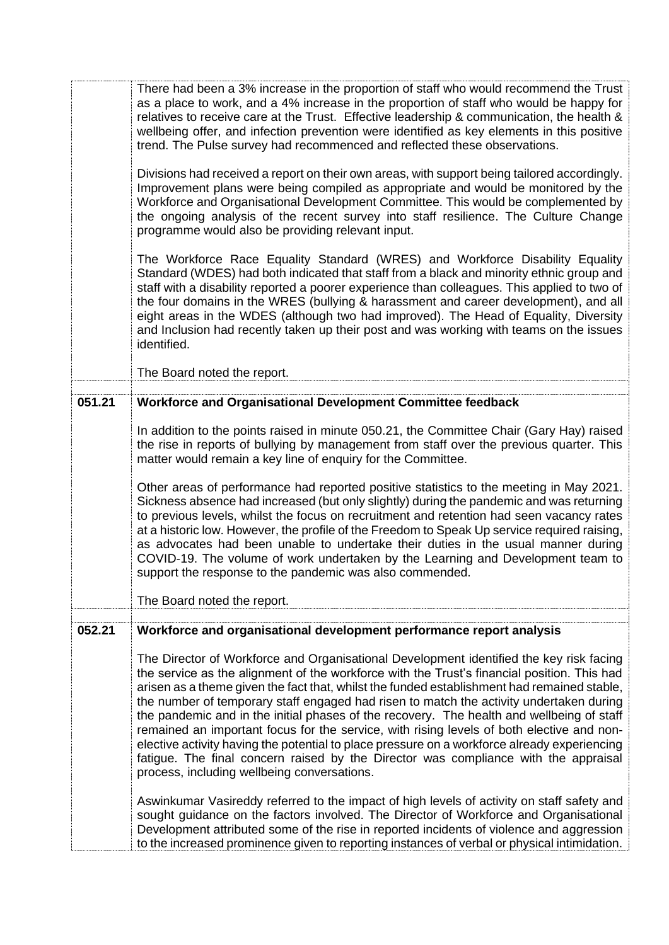|        | There had been a 3% increase in the proportion of staff who would recommend the Trust<br>as a place to work, and a 4% increase in the proportion of staff who would be happy for<br>relatives to receive care at the Trust. Effective leadership & communication, the health &<br>wellbeing offer, and infection prevention were identified as key elements in this positive<br>trend. The Pulse survey had recommenced and reflected these observations.                                                                                                                                                                                                                                                                                                                                                                                                                                                  |
|--------|------------------------------------------------------------------------------------------------------------------------------------------------------------------------------------------------------------------------------------------------------------------------------------------------------------------------------------------------------------------------------------------------------------------------------------------------------------------------------------------------------------------------------------------------------------------------------------------------------------------------------------------------------------------------------------------------------------------------------------------------------------------------------------------------------------------------------------------------------------------------------------------------------------|
|        | Divisions had received a report on their own areas, with support being tailored accordingly.<br>Improvement plans were being compiled as appropriate and would be monitored by the<br>Workforce and Organisational Development Committee. This would be complemented by<br>the ongoing analysis of the recent survey into staff resilience. The Culture Change<br>programme would also be providing relevant input.                                                                                                                                                                                                                                                                                                                                                                                                                                                                                        |
|        | The Workforce Race Equality Standard (WRES) and Workforce Disability Equality<br>Standard (WDES) had both indicated that staff from a black and minority ethnic group and<br>staff with a disability reported a poorer experience than colleagues. This applied to two of<br>the four domains in the WRES (bullying & harassment and career development), and all<br>eight areas in the WDES (although two had improved). The Head of Equality, Diversity<br>and Inclusion had recently taken up their post and was working with teams on the issues<br>identified.                                                                                                                                                                                                                                                                                                                                        |
|        | The Board noted the report.                                                                                                                                                                                                                                                                                                                                                                                                                                                                                                                                                                                                                                                                                                                                                                                                                                                                                |
| 051.21 | Workforce and Organisational Development Committee feedback                                                                                                                                                                                                                                                                                                                                                                                                                                                                                                                                                                                                                                                                                                                                                                                                                                                |
|        | In addition to the points raised in minute 050.21, the Committee Chair (Gary Hay) raised<br>the rise in reports of bullying by management from staff over the previous quarter. This<br>matter would remain a key line of enquiry for the Committee.<br>Other areas of performance had reported positive statistics to the meeting in May 2021.<br>Sickness absence had increased (but only slightly) during the pandemic and was returning<br>to previous levels, whilst the focus on recruitment and retention had seen vacancy rates<br>at a historic low. However, the profile of the Freedom to Speak Up service required raising,<br>as advocates had been unable to undertake their duties in the usual manner during<br>COVID-19. The volume of work undertaken by the Learning and Development team to<br>support the response to the pandemic was also commended.<br>The Board noted the report. |
| 052.21 | Workforce and organisational development performance report analysis                                                                                                                                                                                                                                                                                                                                                                                                                                                                                                                                                                                                                                                                                                                                                                                                                                       |
|        | The Director of Workforce and Organisational Development identified the key risk facing<br>the service as the alignment of the workforce with the Trust's financial position. This had<br>arisen as a theme given the fact that, whilst the funded establishment had remained stable,<br>the number of temporary staff engaged had risen to match the activity undertaken during<br>the pandemic and in the initial phases of the recovery. The health and wellbeing of staff<br>remained an important focus for the service, with rising levels of both elective and non-<br>elective activity having the potential to place pressure on a workforce already experiencing<br>fatigue. The final concern raised by the Director was compliance with the appraisal<br>process, including wellbeing conversations.                                                                                           |
|        | Aswinkumar Vasireddy referred to the impact of high levels of activity on staff safety and<br>sought guidance on the factors involved. The Director of Workforce and Organisational<br>Development attributed some of the rise in reported incidents of violence and aggression<br>to the increased prominence given to reporting instances of verbal or physical intimidation.                                                                                                                                                                                                                                                                                                                                                                                                                                                                                                                            |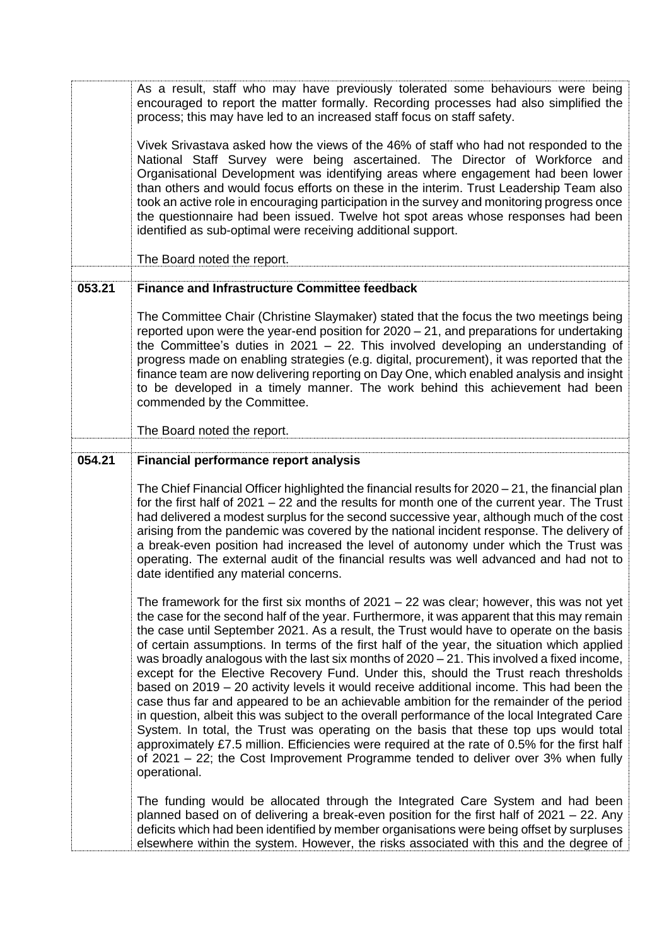As a result, staff who may have previously tolerated some behaviours were being encouraged to report the matter formally. Recording processes had also simplified the process; this may have led to an increased staff focus on staff safety.

Vivek Srivastava asked how the views of the 46% of staff who had not responded to the National Staff Survey were being ascertained. The Director of Workforce and Organisational Development was identifying areas where engagement had been lower than others and would focus efforts on these in the interim. Trust Leadership Team also took an active role in encouraging participation in the survey and monitoring progress once the questionnaire had been issued. Twelve hot spot areas whose responses had been identified as sub-optimal were receiving additional support.

The Board noted the report.

# **053.21 Finance and Infrastructure Committee feedback**

The Committee Chair (Christine Slaymaker) stated that the focus the two meetings being reported upon were the year-end position for 2020 – 21, and preparations for undertaking the Committee's duties in 2021 – 22. This involved developing an understanding of progress made on enabling strategies (e.g. digital, procurement), it was reported that the finance team are now delivering reporting on Day One, which enabled analysis and insight to be developed in a timely manner. The work behind this achievement had been commended by the Committee.

The Board noted the report.

# **054.21 Financial performance report analysis**

The Chief Financial Officer highlighted the financial results for 2020 – 21, the financial plan for the first half of 2021 – 22 and the results for month one of the current year. The Trust had delivered a modest surplus for the second successive year, although much of the cost arising from the pandemic was covered by the national incident response. The delivery of a break-even position had increased the level of autonomy under which the Trust was operating. The external audit of the financial results was well advanced and had not to date identified any material concerns.

The framework for the first six months of 2021 – 22 was clear; however, this was not yet the case for the second half of the year. Furthermore, it was apparent that this may remain the case until September 2021. As a result, the Trust would have to operate on the basis of certain assumptions. In terms of the first half of the year, the situation which applied was broadly analogous with the last six months of 2020 – 21. This involved a fixed income, except for the Elective Recovery Fund. Under this, should the Trust reach thresholds based on 2019 – 20 activity levels it would receive additional income. This had been the case thus far and appeared to be an achievable ambition for the remainder of the period in question, albeit this was subject to the overall performance of the local Integrated Care System. In total, the Trust was operating on the basis that these top ups would total approximately £7.5 million. Efficiencies were required at the rate of 0.5% for the first half of 2021 – 22; the Cost Improvement Programme tended to deliver over 3% when fully operational.

The funding would be allocated through the Integrated Care System and had been planned based on of delivering a break-even position for the first half of 2021 – 22. Any deficits which had been identified by member organisations were being offset by surpluses elsewhere within the system. However, the risks associated with this and the degree of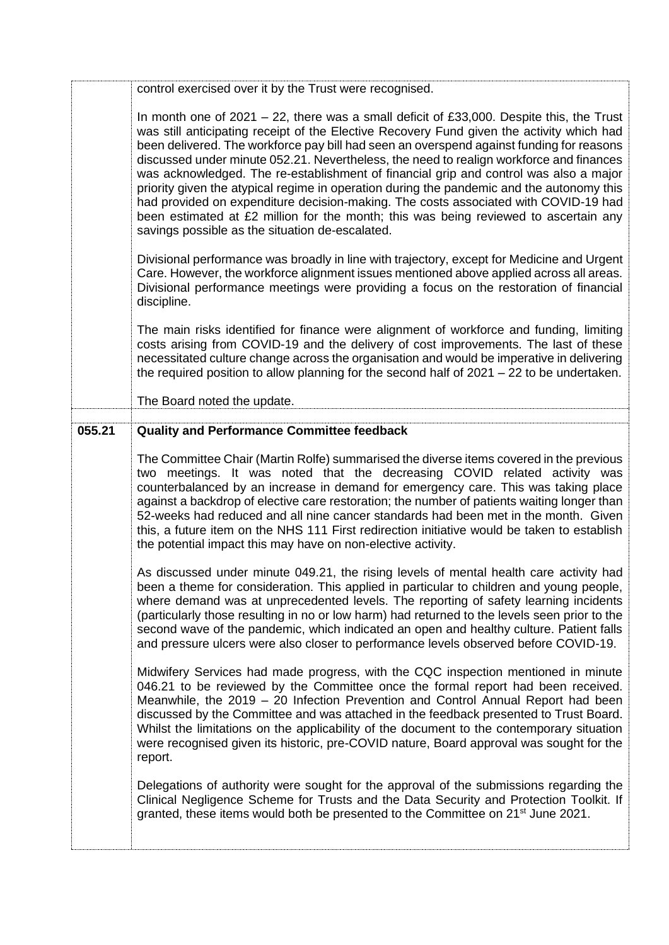|        | control exercised over it by the Trust were recognised.                                                                                                                                                                                                                                                                                                                                                                                                                                                                                                                                                                                                                                                                                                                                              |
|--------|------------------------------------------------------------------------------------------------------------------------------------------------------------------------------------------------------------------------------------------------------------------------------------------------------------------------------------------------------------------------------------------------------------------------------------------------------------------------------------------------------------------------------------------------------------------------------------------------------------------------------------------------------------------------------------------------------------------------------------------------------------------------------------------------------|
|        | In month one of 2021 – 22, there was a small deficit of £33,000. Despite this, the Trust<br>was still anticipating receipt of the Elective Recovery Fund given the activity which had<br>been delivered. The workforce pay bill had seen an overspend against funding for reasons<br>discussed under minute 052.21. Nevertheless, the need to realign workforce and finances<br>was acknowledged. The re-establishment of financial grip and control was also a major<br>priority given the atypical regime in operation during the pandemic and the autonomy this<br>had provided on expenditure decision-making. The costs associated with COVID-19 had<br>been estimated at £2 million for the month; this was being reviewed to ascertain any<br>savings possible as the situation de-escalated. |
|        | Divisional performance was broadly in line with trajectory, except for Medicine and Urgent<br>Care. However, the workforce alignment issues mentioned above applied across all areas.<br>Divisional performance meetings were providing a focus on the restoration of financial<br>discipline.                                                                                                                                                                                                                                                                                                                                                                                                                                                                                                       |
|        | The main risks identified for finance were alignment of workforce and funding, limiting<br>costs arising from COVID-19 and the delivery of cost improvements. The last of these<br>necessitated culture change across the organisation and would be imperative in delivering<br>the required position to allow planning for the second half of $2021 - 22$ to be undertaken.                                                                                                                                                                                                                                                                                                                                                                                                                         |
|        | The Board noted the update.                                                                                                                                                                                                                                                                                                                                                                                                                                                                                                                                                                                                                                                                                                                                                                          |
| 055.21 | <b>Quality and Performance Committee feedback</b>                                                                                                                                                                                                                                                                                                                                                                                                                                                                                                                                                                                                                                                                                                                                                    |
|        | The Committee Chair (Martin Rolfe) summarised the diverse items covered in the previous<br>two meetings. It was noted that the decreasing COVID related activity was<br>counterbalanced by an increase in demand for emergency care. This was taking place<br>against a backdrop of elective care restoration; the number of patients waiting longer than<br>52-weeks had reduced and all nine cancer standards had been met in the month. Given<br>this, a future item on the NHS 111 First redirection initiative would be taken to establish<br>the potential impact this may have on non-elective activity.                                                                                                                                                                                      |
|        | As discussed under minute 049.21, the rising levels of mental health care activity had<br>been a theme for consideration. This applied in particular to children and young people,<br>where demand was at unprecedented levels. The reporting of safety learning incidents<br>(particularly those resulting in no or low harm) had returned to the levels seen prior to the<br>second wave of the pandemic, which indicated an open and healthy culture. Patient falls<br>and pressure ulcers were also closer to performance levels observed before COVID-19.                                                                                                                                                                                                                                       |
|        | Midwifery Services had made progress, with the CQC inspection mentioned in minute<br>046.21 to be reviewed by the Committee once the formal report had been received.<br>Meanwhile, the 2019 - 20 Infection Prevention and Control Annual Report had been<br>discussed by the Committee and was attached in the feedback presented to Trust Board.<br>Whilst the limitations on the applicability of the document to the contemporary situation<br>were recognised given its historic, pre-COVID nature, Board approval was sought for the<br>report.                                                                                                                                                                                                                                                |
|        | Delegations of authority were sought for the approval of the submissions regarding the<br>Clinical Negligence Scheme for Trusts and the Data Security and Protection Toolkit. If<br>granted, these items would both be presented to the Committee on 21 <sup>st</sup> June 2021.                                                                                                                                                                                                                                                                                                                                                                                                                                                                                                                     |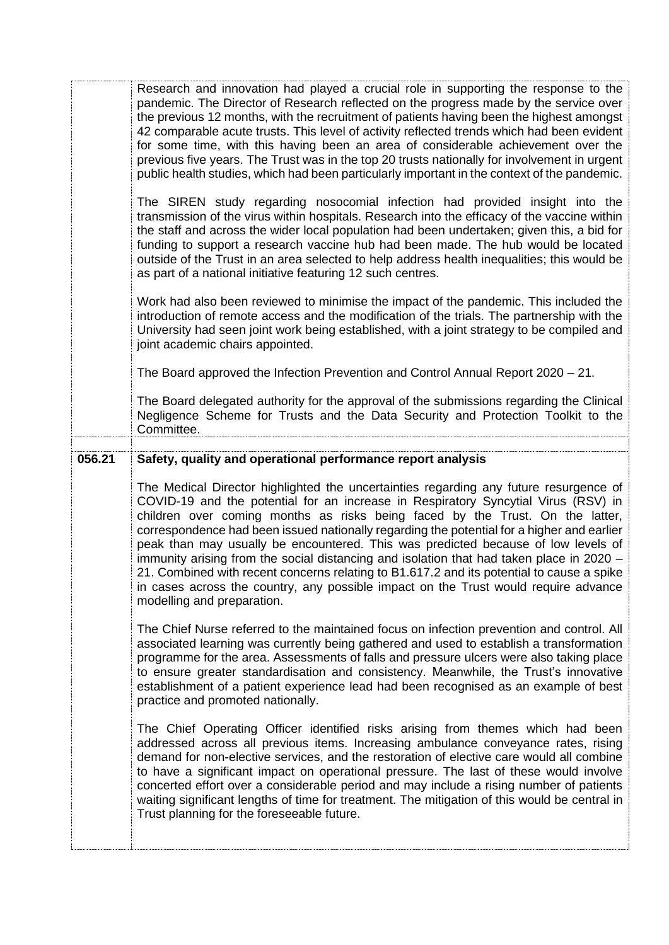Research and innovation had played a crucial role in supporting the response to the pandemic. The Director of Research reflected on the progress made by the service over the previous 12 months, with the recruitment of patients having been the highest amongst 42 comparable acute trusts. This level of activity reflected trends which had been evident for some time, with this having been an area of considerable achievement over the previous five years. The Trust was in the top 20 trusts nationally for involvement in urgent public health studies, which had been particularly important in the context of the pandemic. The SIREN study regarding nosocomial infection had provided insight into the transmission of the virus within hospitals. Research into the efficacy of the vaccine within the staff and across the wider local population had been undertaken; given this, a bid for funding to support a research vaccine hub had been made. The hub would be located outside of the Trust in an area selected to help address health inequalities; this would be as part of a national initiative featuring 12 such centres. Work had also been reviewed to minimise the impact of the pandemic. This included the introduction of remote access and the modification of the trials. The partnership with the University had seen joint work being established, with a joint strategy to be compiled and joint academic chairs appointed. The Board approved the Infection Prevention and Control Annual Report 2020 – 21. The Board delegated authority for the approval of the submissions regarding the Clinical Negligence Scheme for Trusts and the Data Security and Protection Toolkit to the Committee. **056.21 Safety, quality and operational performance report analysis** The Medical Director highlighted the uncertainties regarding any future resurgence of COVID-19 and the potential for an increase in Respiratory Syncytial Virus (RSV) in children over coming months as risks being faced by the Trust. On the latter, correspondence had been issued nationally regarding the potential for a higher and earlier peak than may usually be encountered. This was predicted because of low levels of immunity arising from the social distancing and isolation that had taken place in 2020 – 21. Combined with recent concerns relating to B1.617.2 and its potential to cause a spike in cases across the country, any possible impact on the Trust would require advance modelling and preparation. The Chief Nurse referred to the maintained focus on infection prevention and control. All associated learning was currently being gathered and used to establish a transformation programme for the area. Assessments of falls and pressure ulcers were also taking place to ensure greater standardisation and consistency. Meanwhile, the Trust's innovative establishment of a patient experience lead had been recognised as an example of best practice and promoted nationally. The Chief Operating Officer identified risks arising from themes which had been addressed across all previous items. Increasing ambulance conveyance rates, rising demand for non-elective services, and the restoration of elective care would all combine to have a significant impact on operational pressure. The last of these would involve concerted effort over a considerable period and may include a rising number of patients waiting significant lengths of time for treatment. The mitigation of this would be central in Trust planning for the foreseeable future.